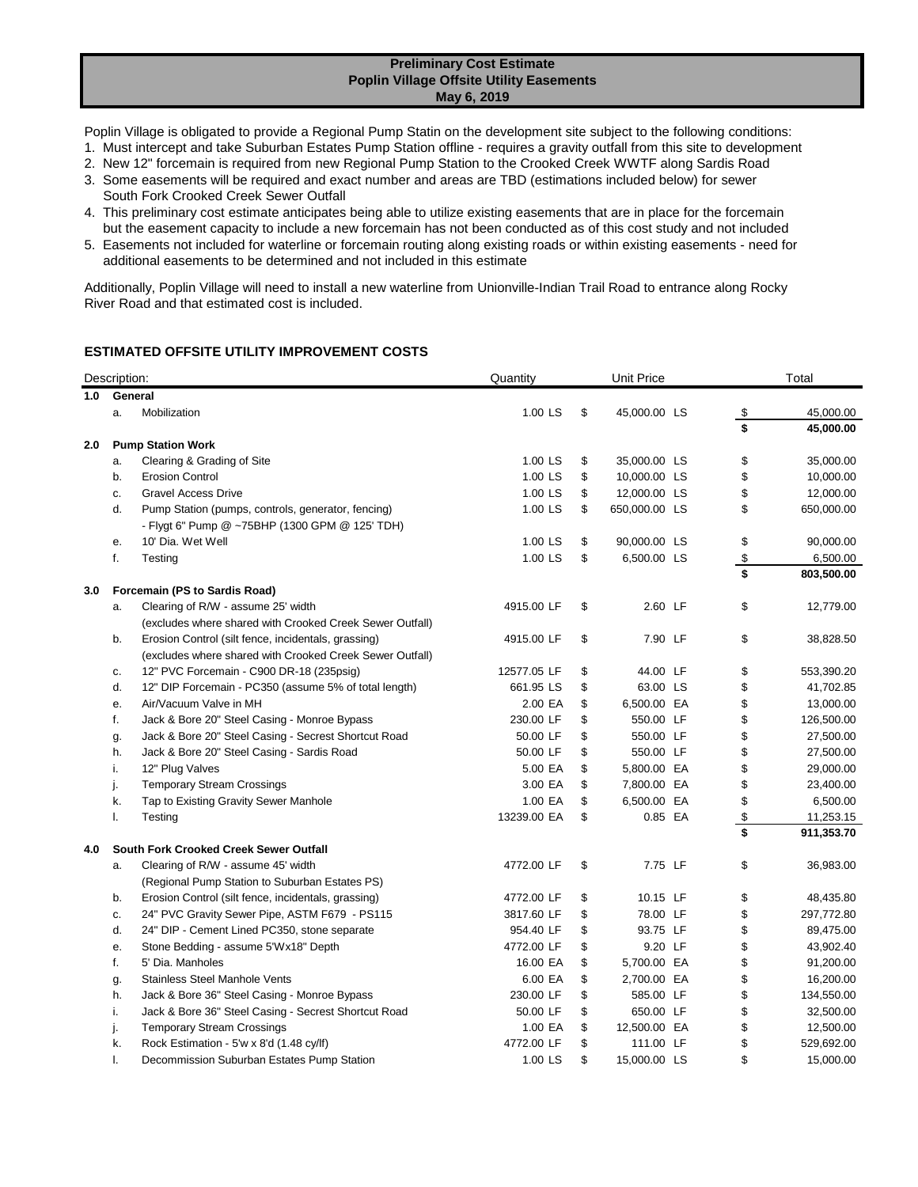## **Preliminary Cost Estimate Poplin Village Offsite Utility Easements May 6, 2019**

Poplin Village is obligated to provide a Regional Pump Statin on the development site subject to the following conditions:

- 1. Must intercept and take Suburban Estates Pump Station offline requires a gravity outfall from this site to development
- 2. New 12" forcemain is required from new Regional Pump Station to the Crooked Creek WWTF along Sardis Road
- 3. Some easements will be required and exact number and areas are TBD (estimations included below) for sewer
- South Fork Crooked Creek Sewer Outfall 4. This preliminary cost estimate anticipates being able to utilize existing easements that are in place for the forcemain
- but the easement capacity to include a new forcemain has not been conducted as of this cost study and not included 5. Easements not included for waterline or forcemain routing along existing roads or within existing easements - need for additional easements to be determined and not included in this estimate

Additionally, Poplin Village will need to install a new waterline from Unionville-Indian Trail Road to entrance along Rocky River Road and that estimated cost is included.

## **ESTIMATED OFFSITE UTILITY IMPROVEMENT COSTS**

|     | Description: |                                                          | Quantity    | <b>Unit Price</b> |               |  |      | Total      |  |
|-----|--------------|----------------------------------------------------------|-------------|-------------------|---------------|--|------|------------|--|
| 1.0 | General      |                                                          |             |                   |               |  |      |            |  |
|     | a.           | Mobilization                                             | $1.00$ LS   | \$                | 45,000.00 LS  |  | \$   | 45,000.00  |  |
| 2.0 |              | <b>Pump Station Work</b>                                 |             |                   |               |  | \$   | 45,000.00  |  |
|     | a.           | Clearing & Grading of Site                               | 1.00 LS     | \$                | 35,000.00 LS  |  | \$   | 35,000.00  |  |
|     | b.           | <b>Erosion Control</b>                                   | 1.00 LS     | \$                | 10,000.00 LS  |  | \$   | 10,000.00  |  |
|     | c.           | <b>Gravel Access Drive</b>                               | 1.00 LS     | \$                | 12,000.00 LS  |  | \$   | 12,000.00  |  |
|     | d.           | Pump Station (pumps, controls, generator, fencing)       | 1.00 LS     | \$                | 650,000.00 LS |  | \$   | 650,000.00 |  |
|     |              | - Flygt 6" Pump @ ~75BHP (1300 GPM @ 125' TDH)           |             |                   |               |  |      |            |  |
|     | е.           | 10' Dia. Wet Well                                        | 1.00 LS     | \$                | 90,000.00 LS  |  | \$   | 90,000.00  |  |
|     | f.           | Testing                                                  | 1.00 LS     | \$                | 6,500.00 LS   |  | $\,$ | 6,500.00   |  |
|     |              |                                                          |             |                   |               |  | \$   | 803,500.00 |  |
| 3.0 |              | Forcemain (PS to Sardis Road)                            |             |                   |               |  |      |            |  |
|     | a.           | Clearing of R/W - assume 25' width                       | 4915.00 LF  | \$                | 2.60 LF       |  | \$   | 12,779.00  |  |
|     |              | (excludes where shared with Crooked Creek Sewer Outfall) |             |                   |               |  |      |            |  |
|     | b.           | Erosion Control (silt fence, incidentals, grassing)      | 4915.00 LF  | \$                | 7.90 LF       |  | \$   | 38,828.50  |  |
|     |              | (excludes where shared with Crooked Creek Sewer Outfall) |             |                   |               |  |      |            |  |
|     | c.           | 12" PVC Forcemain - C900 DR-18 (235psig)                 | 12577.05 LF | \$                | 44.00 LF      |  | \$   | 553,390.20 |  |
|     | d.           | 12" DIP Forcemain - PC350 (assume 5% of total length)    | 661.95 LS   | \$                | 63.00 LS      |  | \$   | 41,702.85  |  |
|     | е.           | Air/Vacuum Valve in MH                                   | 2.00 EA     | \$                | 6,500.00 EA   |  | \$   | 13,000.00  |  |
|     | f.           | Jack & Bore 20" Steel Casing - Monroe Bypass             | 230.00 LF   | \$                | 550.00 LF     |  | \$   | 126,500.00 |  |
|     | g.           | Jack & Bore 20" Steel Casing - Secrest Shortcut Road     | 50.00 LF    | \$                | 550.00 LF     |  | \$   | 27,500.00  |  |
|     | h.           | Jack & Bore 20" Steel Casing - Sardis Road               | 50.00 LF    | \$                | 550.00 LF     |  | \$   | 27,500.00  |  |
|     | i.           | 12" Plug Valves                                          | 5.00 EA     | \$                | 5,800.00 EA   |  | \$   | 29,000.00  |  |
|     | j.           | <b>Temporary Stream Crossings</b>                        | 3.00 EA     | \$                | 7,800.00 EA   |  | \$   | 23,400.00  |  |
|     | k.           | Tap to Existing Gravity Sewer Manhole                    | 1.00 EA     | \$                | 6,500.00 EA   |  | \$   | 6,500.00   |  |
|     | I.           | Testing                                                  | 13239.00 EA | \$                | 0.85 EA       |  | $\,$ | 11,253.15  |  |
|     |              |                                                          |             |                   |               |  | \$   | 911,353.70 |  |
| 4.0 |              | <b>South Fork Crooked Creek Sewer Outfall</b>            |             |                   |               |  |      |            |  |
|     | a.           | Clearing of R/W - assume 45' width                       | 4772.00 LF  | \$                | 7.75 LF       |  | \$   | 36,983.00  |  |
|     |              | (Regional Pump Station to Suburban Estates PS)           |             |                   |               |  |      |            |  |
|     | b.           | Erosion Control (silt fence, incidentals, grassing)      | 4772.00 LF  | \$                | 10.15 LF      |  | \$   | 48,435.80  |  |
|     | c.           | 24" PVC Gravity Sewer Pipe, ASTM F679 - PS115            | 3817.60 LF  | \$                | 78.00 LF      |  | \$   | 297,772.80 |  |
|     | d.           | 24" DIP - Cement Lined PC350, stone separate             | 954.40 LF   | \$                | 93.75 LF      |  | \$   | 89,475.00  |  |
|     | е.           | Stone Bedding - assume 5'Wx18" Depth                     | 4772.00 LF  | \$                | 9.20 LF       |  | \$   | 43,902.40  |  |
|     | f.           | 5' Dia. Manholes                                         | 16.00 EA    | \$                | 5,700.00 EA   |  | \$   | 91,200.00  |  |
|     | g.           | <b>Stainless Steel Manhole Vents</b>                     | 6.00 EA     | \$                | 2,700.00 EA   |  | \$   | 16,200.00  |  |
|     | h.           | Jack & Bore 36" Steel Casing - Monroe Bypass             | 230.00 LF   | \$                | 585.00 LF     |  | \$   | 134,550.00 |  |
|     | i.           | Jack & Bore 36" Steel Casing - Secrest Shortcut Road     | 50.00 LF    | \$                | 650.00 LF     |  | \$   | 32,500.00  |  |
|     | j.           | <b>Temporary Stream Crossings</b>                        | 1.00 EA     | \$                | 12,500.00 EA  |  | \$   | 12,500.00  |  |
|     | k.           | Rock Estimation - 5'w x 8'd (1.48 cy/lf)                 | 4772.00 LF  | \$                | 111.00 LF     |  | \$   | 529,692.00 |  |
|     | I.           | Decommission Suburban Estates Pump Station               | 1.00 LS     | \$                | 15,000.00 LS  |  | \$   | 15,000.00  |  |